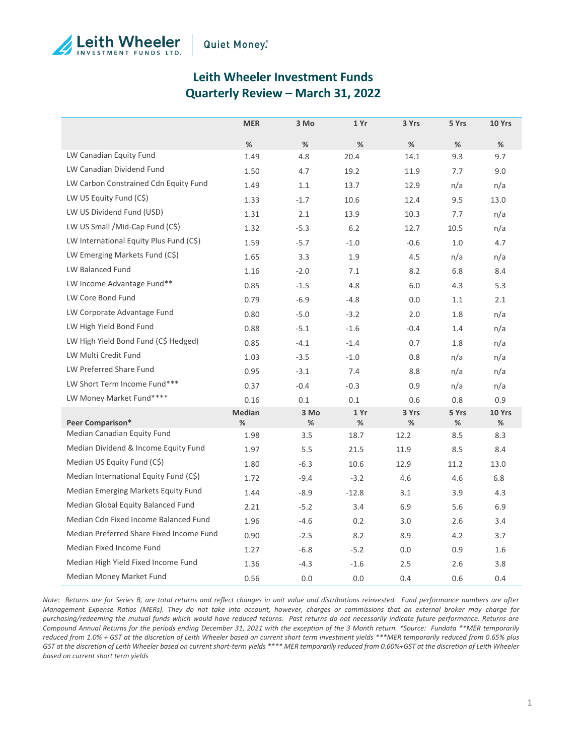



# **Leith Wheeler Investment Funds Quarterly Review – March 31, 2022**

|                                          | <b>MER</b>         | 3 Mo      | 1 Yr      | 3 Yrs      | 5 Yrs      | 10 Yrs      |
|------------------------------------------|--------------------|-----------|-----------|------------|------------|-------------|
|                                          | %                  | %         | %         | %          | %          | %           |
| LW Canadian Equity Fund                  | 1.49               | 4.8       | 20.4      | 14.1       | 9.3        | 9.7         |
| LW Canadian Dividend Fund                | 1.50               | 4.7       | 19.2      | 11.9       | 7.7        | 9.0         |
| LW Carbon Constrained Cdn Equity Fund    | 1.49               | 1.1       | 13.7      | 12.9       | n/a        | n/a         |
| LW US Equity Fund (C\$)                  | 1.33               | $-1.7$    | 10.6      | 12.4       | 9.5        | 13.0        |
| LW US Dividend Fund (USD)                | 1.31               | 2.1       | 13.9      | 10.3       | 7.7        | n/a         |
| LW US Small / Mid-Cap Fund (C\$)         | 1.32               | $-5.3$    | 6.2       | 12.7       | 10.5       | n/a         |
| LW International Equity Plus Fund (C\$)  | 1.59               | $-5.7$    | $-1.0$    | $-0.6$     | 1.0        | 4.7         |
| LW Emerging Markets Fund (C\$)           | 1.65               | 3.3       | 1.9       | 4.5        | n/a        | n/a         |
| <b>LW Balanced Fund</b>                  | 1.16               | $-2.0$    | 7.1       | 8.2        | 6.8        | 8.4         |
| LW Income Advantage Fund**               | 0.85               | $-1.5$    | 4.8       | 6.0        | 4.3        | 5.3         |
| LW Core Bond Fund                        | 0.79               | $-6.9$    | $-4.8$    | 0.0        | 1.1        | 2.1         |
| LW Corporate Advantage Fund              | 0.80               | $-5.0$    | $-3.2$    | 2.0        | 1.8        | n/a         |
| LW High Yield Bond Fund                  | 0.88               | $-5.1$    | $-1.6$    | $-0.4$     | 1.4        | n/a         |
| LW High Yield Bond Fund (C\$ Hedged)     | 0.85               | $-4.1$    | $-1.4$    | 0.7        | 1.8        | n/a         |
| LW Multi Credit Fund                     | 1.03               | $-3.5$    | $-1.0$    | 0.8        | n/a        | n/a         |
| LW Preferred Share Fund                  | 0.95               | $-3.1$    | 7.4       | 8.8        | n/a        | n/a         |
| LW Short Term Income Fund***             | 0.37               | $-0.4$    | $-0.3$    | 0.9        | n/a        | n/a         |
| LW Money Market Fund****                 | 0.16               | 0.1       | 0.1       | 0.6        | 0.8        | 0.9         |
| Peer Comparison*                         | <b>Median</b><br>% | 3 Mo<br>% | 1 Yr<br>% | 3 Yrs<br>% | 5 Yrs<br>℅ | 10 Yrs<br>% |
| Median Canadian Equity Fund              | 1.98               | 3.5       | 18.7      | 12.2       | 8.5        | 8.3         |
| Median Dividend & Income Equity Fund     | 1.97               | 5.5       | 21.5      | 11.9       | 8.5        | 8.4         |
| Median US Equity Fund (C\$)              | 1.80               | $-6.3$    | 10.6      | 12.9       | 11.2       | 13.0        |
| Median International Equity Fund (C\$)   | 1.72               | $-9.4$    | $-3.2$    | 4.6        | 4.6        | 6.8         |
| Median Emerging Markets Equity Fund      | 1.44               | $-8.9$    | $-12.8$   | 3.1        | 3.9        | 4.3         |
| Median Global Equity Balanced Fund       | 2.21               | $-5.2$    | 3.4       | 6.9        | 5.6        | 6.9         |
| Median Cdn Fixed Income Balanced Fund    | 1.96               | $-4.6$    | 0.2       | 3.0        | 2.6        | 3.4         |
| Median Preferred Share Fixed Income Fund | 0.90               | $-2.5$    | 8.2       | 8.9        | 4.2        | 3.7         |
| Median Fixed Income Fund                 | 1.27               | $-6.8$    | $-5.2$    | 0.0        | 0.9        | 1.6         |
| Median High Yield Fixed Income Fund      | 1.36               | $-4.3$    | $-1.6$    | 2.5        | 2.6        | 3.8         |
| Median Money Market Fund                 | 0.56               | 0.0       | 0.0       | 0.4        | 0.6        | 0.4         |

*Note: Returns are for Series B, are total returns and reflect changes in unit value and distributions reinvested. Fund performance numbers are after Management Expense Ratios (MERs). They do not take into account, however, charges or commissions that an external broker may charge for purchasing/redeeming the mutual funds which would have reduced returns. Past returns do not necessarily indicate future performance. Returns are Compound Annual Returns for the periods ending December 31, 2021 with the exception of the 3 Month return. \*Source: Fundata \*\*MER temporarily reduced from 1.0% + GST at the discretion of Leith Wheeler based on current short term investment yields \*\*\*MER temporarily reduced from 0.65% plus GST at the discretion of Leith Wheeler based on current short-term yields \*\*\*\* MER temporarily reduced from 0.60%+GST at the discretion of Leith Wheeler based on current short term yields*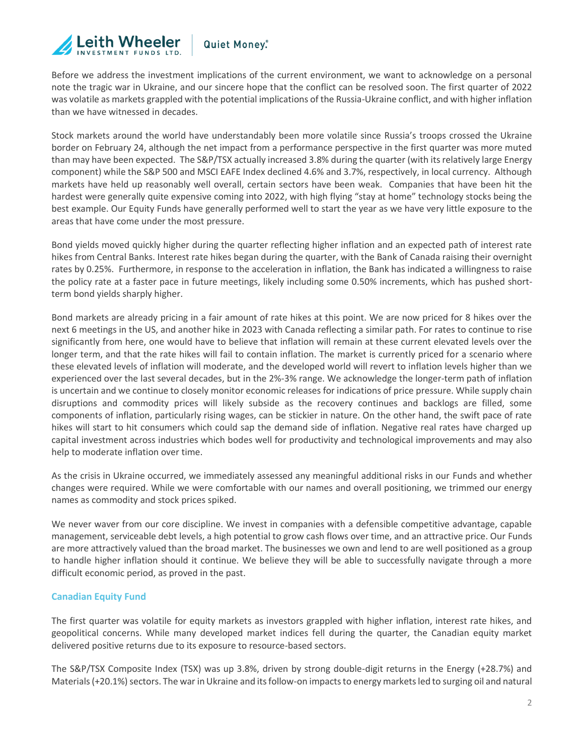

Before we address the investment implications of the current environment, we want to acknowledge on a personal note the tragic war in Ukraine, and our sincere hope that the conflict can be resolved soon. The first quarter of 2022 was volatile as markets grappled with the potential implications of the Russia-Ukraine conflict, and with higher inflation than we have witnessed in decades.

Stock markets around the world have understandably been more volatile since Russia's troops crossed the Ukraine border on February 24, although the net impact from a performance perspective in the first quarter was more muted than may have been expected. The S&P/TSX actually increased 3.8% during the quarter (with its relatively large Energy component) while the S&P 500 and MSCI EAFE Index declined 4.6% and 3.7%, respectively, in local currency. Although markets have held up reasonably well overall, certain sectors have been weak. Companies that have been hit the hardest were generally quite expensive coming into 2022, with high flying "stay at home" technology stocks being the best example. Our Equity Funds have generally performed well to start the year as we have very little exposure to the areas that have come under the most pressure.

Bond yields moved quickly higher during the quarter reflecting higher inflation and an expected path of interest rate hikes from Central Banks. Interest rate hikes began during the quarter, with the Bank of Canada raising their overnight rates by 0.25%. Furthermore, in response to the acceleration in inflation, the Bank has indicated a willingness to raise the policy rate at a faster pace in future meetings, likely including some 0.50% increments, which has pushed shortterm bond yields sharply higher.

Bond markets are already pricing in a fair amount of rate hikes at this point. We are now priced for 8 hikes over the next 6 meetings in the US, and another hike in 2023 with Canada reflecting a similar path. For rates to continue to rise significantly from here, one would have to believe that inflation will remain at these current elevated levels over the longer term, and that the rate hikes will fail to contain inflation. The market is currently priced for a scenario where these elevated levels of inflation will moderate, and the developed world will revert to inflation levels higher than we experienced over the last several decades, but in the 2%-3% range. We acknowledge the longer-term path of inflation is uncertain and we continue to closely monitor economic releases for indications of price pressure. While supply chain disruptions and commodity prices will likely subside as the recovery continues and backlogs are filled, some components of inflation, particularly rising wages, can be stickier in nature. On the other hand, the swift pace of rate hikes will start to hit consumers which could sap the demand side of inflation. Negative real rates have charged up capital investment across industries which bodes well for productivity and technological improvements and may also help to moderate inflation over time.

As the crisis in Ukraine occurred, we immediately assessed any meaningful additional risks in our Funds and whether changes were required. While we were comfortable with our names and overall positioning, we trimmed our energy names as commodity and stock prices spiked.

We never waver from our core discipline. We invest in companies with a defensible competitive advantage, capable management, serviceable debt levels, a high potential to grow cash flows over time, and an attractive price. Our Funds are more attractively valued than the broad market. The businesses we own and lend to are well positioned as a group to handle higher inflation should it continue. We believe they will be able to successfully navigate through a more difficult economic period, as proved in the past.

#### **Canadian Equity Fund**

The first quarter was volatile for equity markets as investors grappled with higher inflation, interest rate hikes, and geopolitical concerns. While many developed market indices fell during the quarter, the Canadian equity market delivered positive returns due to its exposure to resource-based sectors.

The S&P/TSX Composite Index (TSX) was up 3.8%, driven by strong double-digit returns in the Energy (+28.7%) and Materials (+20.1%) sectors. The war in Ukraine and its follow-on impacts to energy markets led to surging oil and natural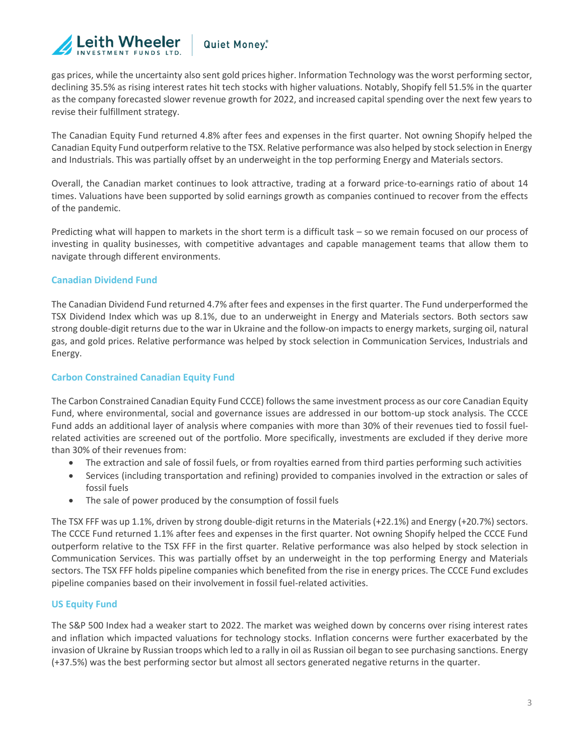

gas prices, while the uncertainty also sent gold prices higher. Information Technology was the worst performing sector, declining 35.5% as rising interest rates hit tech stocks with higher valuations. Notably, Shopify fell 51.5% in the quarter as the company forecasted slower revenue growth for 2022, and increased capital spending over the next few years to revise their fulfillment strategy.

The Canadian Equity Fund returned 4.8% after fees and expenses in the first quarter. Not owning Shopify helped the Canadian Equity Fund outperform relative to the TSX. Relative performance was also helped by stock selection in Energy and Industrials. This was partially offset by an underweight in the top performing Energy and Materials sectors.

Overall, the Canadian market continues to look attractive, trading at a forward price-to-earnings ratio of about 14 times. Valuations have been supported by solid earnings growth as companies continued to recover from the effects of the pandemic.

Predicting what will happen to markets in the short term is a difficult task – so we remain focused on our process of investing in quality businesses, with competitive advantages and capable management teams that allow them to navigate through different environments.

#### **Canadian Dividend Fund**

The Canadian Dividend Fund returned 4.7% after fees and expenses in the first quarter. The Fund underperformed the TSX Dividend Index which was up 8.1%, due to an underweight in Energy and Materials sectors. Both sectors saw strong double-digit returns due to the war in Ukraine and the follow-on impacts to energy markets, surging oil, natural gas, and gold prices. Relative performance was helped by stock selection in Communication Services, Industrials and Energy.

#### **Carbon Constrained Canadian Equity Fund**

The Carbon Constrained Canadian Equity Fund CCCE) follows the same investment process as our core Canadian Equity Fund, where environmental, social and governance issues are addressed in our bottom-up stock analysis. The CCCE Fund adds an additional layer of analysis where companies with more than 30% of their revenues tied to fossil fuelrelated activities are screened out of the portfolio. More specifically, investments are excluded if they derive more than 30% of their revenues from:

- The extraction and sale of fossil fuels, or from royalties earned from third parties performing such activities
- Services (including transportation and refining) provided to companies involved in the extraction or sales of fossil fuels
- The sale of power produced by the consumption of fossil fuels

The TSX FFF was up 1.1%, driven by strong double-digit returns in the Materials (+22.1%) and Energy (+20.7%) sectors. The CCCE Fund returned 1.1% after fees and expenses in the first quarter. Not owning Shopify helped the CCCE Fund outperform relative to the TSX FFF in the first quarter. Relative performance was also helped by stock selection in Communication Services. This was partially offset by an underweight in the top performing Energy and Materials sectors. The TSX FFF holds pipeline companies which benefited from the rise in energy prices. The CCCE Fund excludes pipeline companies based on their involvement in fossil fuel-related activities.

#### **US Equity Fund**

The S&P 500 Index had a weaker start to 2022. The market was weighed down by concerns over rising interest rates and inflation which impacted valuations for technology stocks. Inflation concerns were further exacerbated by the invasion of Ukraine by Russian troops which led to a rally in oil as Russian oil began to see purchasing sanctions. Energy (+37.5%) was the best performing sector but almost all sectors generated negative returns in the quarter.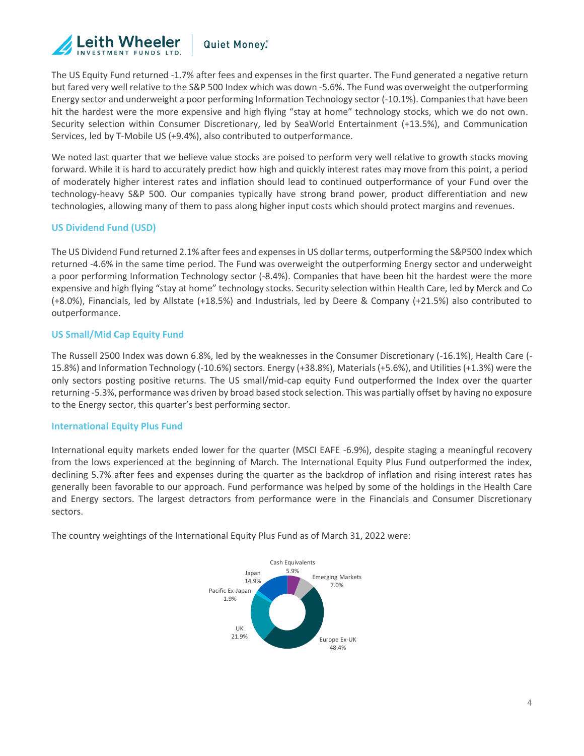

The US Equity Fund returned -1.7% after fees and expenses in the first quarter. The Fund generated a negative return but fared very well relative to the S&P 500 Index which was down -5.6%. The Fund was overweight the outperforming Energy sector and underweight a poor performing Information Technology sector (-10.1%). Companies that have been hit the hardest were the more expensive and high flying "stay at home" technology stocks, which we do not own. Security selection within Consumer Discretionary, led by SeaWorld Entertainment (+13.5%), and Communication Services, led by T-Mobile US (+9.4%), also contributed to outperformance.

We noted last quarter that we believe value stocks are poised to perform very well relative to growth stocks moving forward. While it is hard to accurately predict how high and quickly interest rates may move from this point, a period of moderately higher interest rates and inflation should lead to continued outperformance of your Fund over the technology-heavy S&P 500. Our companies typically have strong brand power, product differentiation and new technologies, allowing many of them to pass along higher input costs which should protect margins and revenues.

#### **US Dividend Fund (USD)**

The US Dividend Fund returned 2.1% after fees and expenses in US dollar terms, outperforming the S&P500 Index which returned -4.6% in the same time period. The Fund was overweight the outperforming Energy sector and underweight a poor performing Information Technology sector (-8.4%). Companies that have been hit the hardest were the more expensive and high flying "stay at home" technology stocks. Security selection within Health Care, led by Merck and Co (+8.0%), Financials, led by Allstate (+18.5%) and Industrials, led by Deere & Company (+21.5%) also contributed to outperformance.

#### **US Small/Mid Cap Equity Fund**

The Russell 2500 Index was down 6.8%, led by the weaknesses in the Consumer Discretionary (-16.1%), Health Care (- 15.8%) and Information Technology (-10.6%) sectors. Energy (+38.8%), Materials (+5.6%), and Utilities (+1.3%) were the only sectors posting positive returns. The US small/mid-cap equity Fund outperformed the Index over the quarter returning -5.3%, performance was driven by broad based stock selection. This was partially offset by having no exposure to the Energy sector, this quarter's best performing sector.

#### **International Equity Plus Fund**

International equity markets ended lower for the quarter (MSCI EAFE -6.9%), despite staging a meaningful recovery from the lows experienced at the beginning of March. The International Equity Plus Fund outperformed the index, declining 5.7% after fees and expenses during the quarter as the backdrop of inflation and rising interest rates has generally been favorable to our approach. Fund performance was helped by some of the holdings in the Health Care and Energy sectors. The largest detractors from performance were in the Financials and Consumer Discretionary sectors.

The country weightings of the International Equity Plus Fund as of March 31, 2022 were:

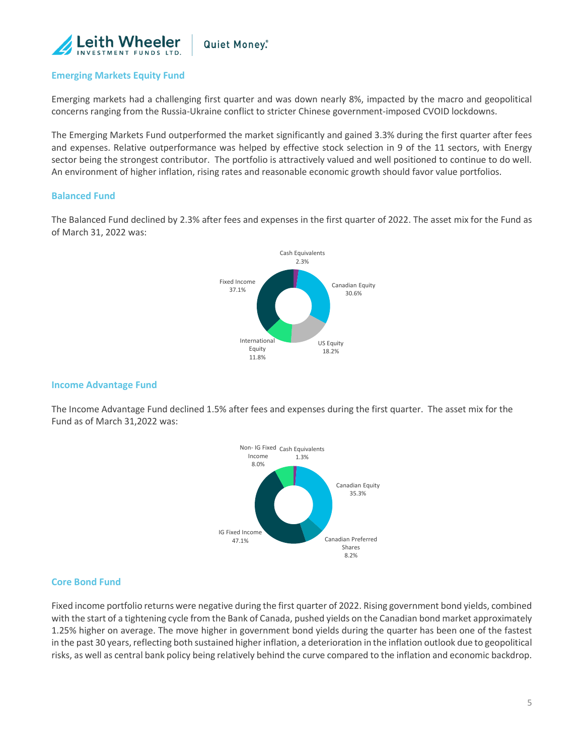

### **Emerging Markets Equity Fund**

Emerging markets had a challenging first quarter and was down nearly 8%, impacted by the macro and geopolitical concerns ranging from the Russia-Ukraine conflict to stricter Chinese government-imposed CVOID lockdowns.

The Emerging Markets Fund outperformed the market significantly and gained 3.3% during the first quarter after fees and expenses. Relative outperformance was helped by effective stock selection in 9 of the 11 sectors, with Energy sector being the strongest contributor. The portfolio is attractively valued and well positioned to continue to do well. An environment of higher inflation, rising rates and reasonable economic growth should favor value portfolios.

#### **Balanced Fund**

The Balanced Fund declined by 2.3% after fees and expenses in the first quarter of 2022. The asset mix for the Fund as of March 31, 2022 was:



#### **Income Advantage Fund**

The Income Advantage Fund declined 1.5% after fees and expenses during the first quarter. The asset mix for the Fund as of March 31,2022 was:



#### **Core Bond Fund**

Fixed income portfolio returns were negative during the first quarter of 2022. Rising government bond yields, combined with the start of a tightening cycle from the Bank of Canada, pushed yields on the Canadian bond market approximately 1.25% higher on average. The move higher in government bond yields during the quarter has been one of the fastest in the past 30 years, reflecting both sustained higher inflation, a deterioration in the inflation outlook due to geopolitical risks, as well as central bank policy being relatively behind the curve compared to the inflation and economic backdrop.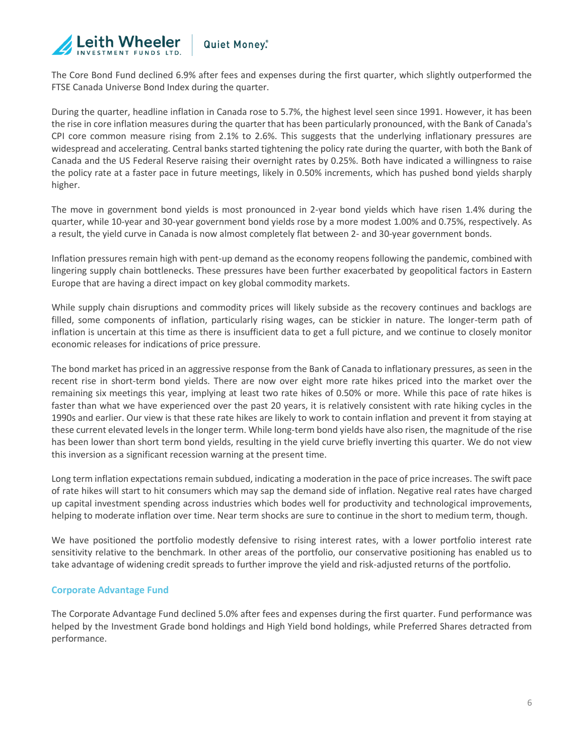

The Core Bond Fund declined 6.9% after fees and expenses during the first quarter, which slightly outperformed the FTSE Canada Universe Bond Index during the quarter.

During the quarter, headline inflation in Canada rose to 5.7%, the highest level seen since 1991. However, it has been the rise in core inflation measures during the quarter that has been particularly pronounced, with the Bank of Canada's CPI core common measure rising from 2.1% to 2.6%. This suggests that the underlying inflationary pressures are widespread and accelerating. Central banks started tightening the policy rate during the quarter, with both the Bank of Canada and the US Federal Reserve raising their overnight rates by 0.25%. Both have indicated a willingness to raise the policy rate at a faster pace in future meetings, likely in 0.50% increments, which has pushed bond yields sharply higher.

The move in government bond yields is most pronounced in 2-year bond yields which have risen 1.4% during the quarter, while 10-year and 30-year government bond yields rose by a more modest 1.00% and 0.75%, respectively. As a result, the yield curve in Canada is now almost completely flat between 2- and 30-year government bonds.

Inflation pressures remain high with pent-up demand as the economy reopens following the pandemic, combined with lingering supply chain bottlenecks. These pressures have been further exacerbated by geopolitical factors in Eastern Europe that are having a direct impact on key global commodity markets.

While supply chain disruptions and commodity prices will likely subside as the recovery continues and backlogs are filled, some components of inflation, particularly rising wages, can be stickier in nature. The longer-term path of inflation is uncertain at this time as there is insufficient data to get a full picture, and we continue to closely monitor economic releases for indications of price pressure.

The bond market has priced in an aggressive response from the Bank of Canada to inflationary pressures, as seen in the recent rise in short-term bond yields. There are now over eight more rate hikes priced into the market over the remaining six meetings this year, implying at least two rate hikes of 0.50% or more. While this pace of rate hikes is faster than what we have experienced over the past 20 years, it is relatively consistent with rate hiking cycles in the 1990s and earlier. Our view is that these rate hikes are likely to work to contain inflation and prevent it from staying at these current elevated levels in the longer term. While long-term bond yields have also risen, the magnitude of the rise has been lower than short term bond yields, resulting in the yield curve briefly inverting this quarter. We do not view this inversion as a significant recession warning at the present time.

Long term inflation expectations remain subdued, indicating a moderation in the pace of price increases. The swift pace of rate hikes will start to hit consumers which may sap the demand side of inflation. Negative real rates have charged up capital investment spending across industries which bodes well for productivity and technological improvements, helping to moderate inflation over time. Near term shocks are sure to continue in the short to medium term, though.

We have positioned the portfolio modestly defensive to rising interest rates, with a lower portfolio interest rate sensitivity relative to the benchmark. In other areas of the portfolio, our conservative positioning has enabled us to take advantage of widening credit spreads to further improve the yield and risk-adjusted returns of the portfolio.

#### **Corporate Advantage Fund**

The Corporate Advantage Fund declined 5.0% after fees and expenses during the first quarter. Fund performance was helped by the Investment Grade bond holdings and High Yield bond holdings, while Preferred Shares detracted from performance.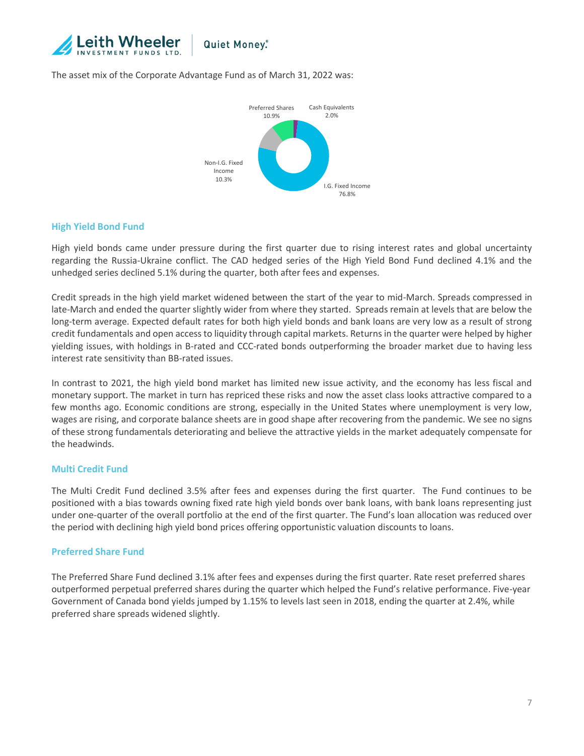

#### The asset mix of the Corporate Advantage Fund as of March 31, 2022 was:



#### **High Yield Bond Fund**

High yield bonds came under pressure during the first quarter due to rising interest rates and global uncertainty regarding the Russia-Ukraine conflict. The CAD hedged series of the High Yield Bond Fund declined 4.1% and the unhedged series declined 5.1% during the quarter, both after fees and expenses.

Credit spreads in the high yield market widened between the start of the year to mid-March. Spreads compressed in late-March and ended the quarter slightly wider from where they started. Spreads remain at levels that are below the long-term average. Expected default rates for both high yield bonds and bank loans are very low as a result of strong credit fundamentals and open access to liquidity through capital markets. Returns in the quarter were helped by higher yielding issues, with holdings in B-rated and CCC-rated bonds outperforming the broader market due to having less interest rate sensitivity than BB-rated issues.

In contrast to 2021, the high yield bond market has limited new issue activity, and the economy has less fiscal and monetary support. The market in turn has repriced these risks and now the asset class looks attractive compared to a few months ago. Economic conditions are strong, especially in the United States where unemployment is very low, wages are rising, and corporate balance sheets are in good shape after recovering from the pandemic. We see no signs of these strong fundamentals deteriorating and believe the attractive yields in the market adequately compensate for the headwinds.

#### **Multi Credit Fund**

The Multi Credit Fund declined 3.5% after fees and expenses during the first quarter. The Fund continues to be positioned with a bias towards owning fixed rate high yield bonds over bank loans, with bank loans representing just under one-quarter of the overall portfolio at the end of the first quarter. The Fund's loan allocation was reduced over the period with declining high yield bond prices offering opportunistic valuation discounts to loans.

#### **Preferred Share Fund**

The Preferred Share Fund declined 3.1% after fees and expenses during the first quarter. Rate reset preferred shares outperformed perpetual preferred shares during the quarter which helped the Fund's relative performance. Five-year Government of Canada bond yields jumped by 1.15% to levels last seen in 2018, ending the quarter at 2.4%, while preferred share spreads widened slightly.